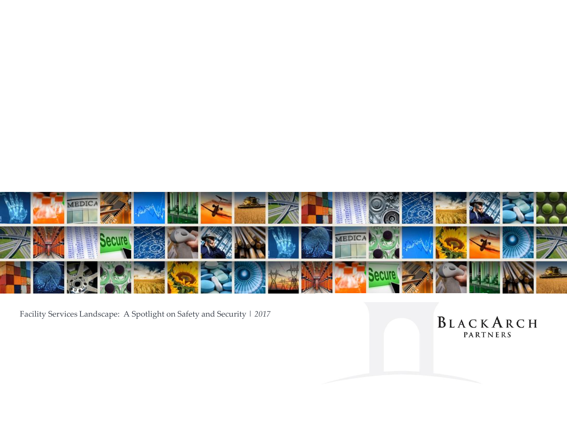

Facility Services Landscape: A Spotlight on Safety and Security | *2017*

BLACKARCH PARTNERS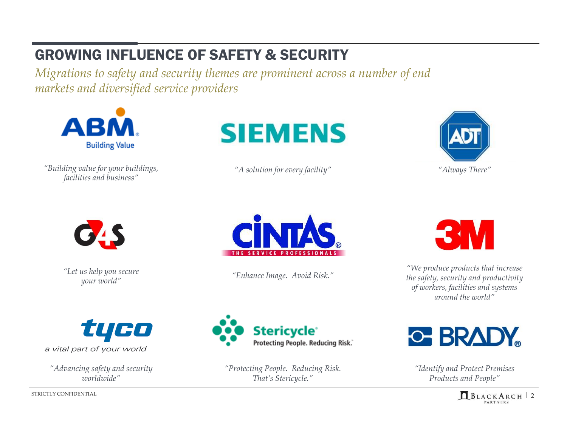# GROWING INFLUENCE OF SAFETY & SECURITY

*Migrations to safety and security themes are prominent across a number of end markets and diversified service providers*



*"Building value for your buildings, facilities and business"*



*"A solution for every facility" "Always There"*





*"Let us help you secure your world"*



*"Enhance Image. Avoid Risk."*



*"We produce products that increase the safety, security and productivity of workers, facilities and systems around the world"*



a vital part of your world

*"Advancing safety and security worldwide"*



*"Protecting People. Reducing Risk. That's Stericycle."*



*"Identify and Protect Premises Products and People"*

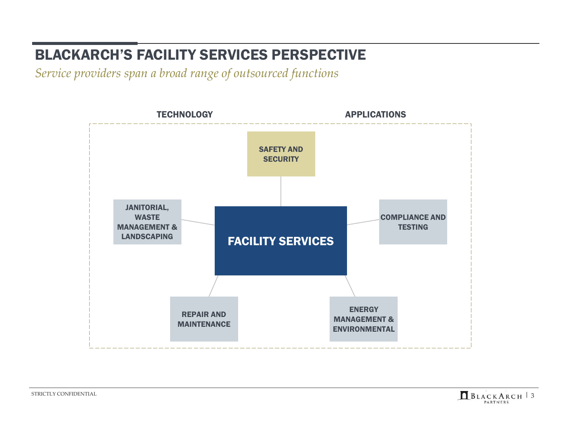# BLACKARCH'S FACILITY SERVICES PERSPECTIVE

*Service providers span a broad range of outsourced functions*



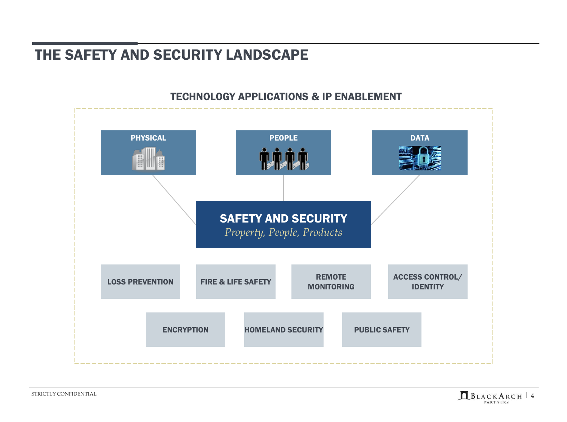### THE SAFETY AND SECURITY LANDSCAPE

### TECHNOLOGY APPLICATIONS & IP ENABLEMENT

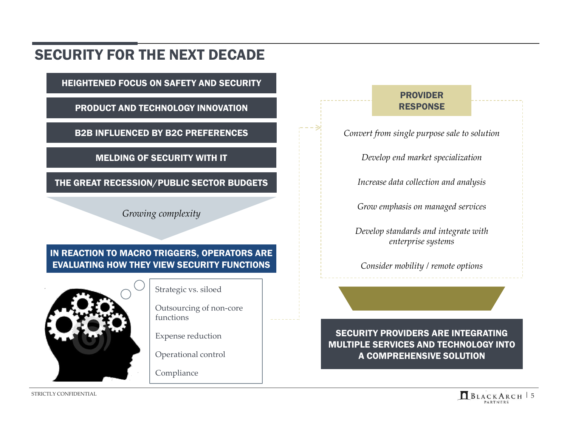### SECURITY FOR THE NEXT DECADE

HEIGHTENED FOCUS ON SAFETY AND SECURITY

PRODUCT AND TECHNOLOGY INNOVATION

B2B INFLUENCED BY B2C PREFERENCES

MELDING OF SECURITY WITH IT

THE GREAT RECESSION/PUBLIC SECTOR BUDGETS

*Growing complexity*

### IN REACTION TO MACRO TRIGGERS, OPERATORS ARE EVALUATING HOW THEY VIEW SECURITY FUNCTIONS



Strategic vs. siloed

Outsourcing of non-core functions

Expense reduction

Operational control

Compliance

#### PROVIDER RESPONSE

*Convert from single purpose sale to solution*

*Develop end market specialization*

*Increase data collection and analysis*

*Grow emphasis on managed services*

*Develop standards and integrate with enterprise systems*

*Consider mobility / remote options*

SECURITY PROVIDERS ARE INTEGRATING MULTIPLE SERVICES AND TECHNOLOGY INTO A COMPREHENSIVE SOLUTION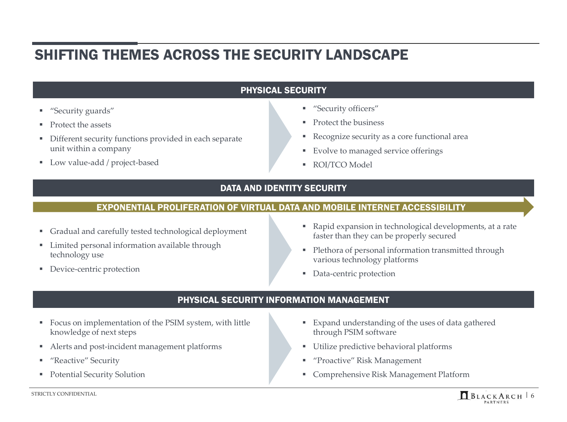### SHIFTING THEMES ACROSS THE SECURITY LANDSCAPE

#### PHYSICAL SECURITY

- "Security guards"
- **Protect the assets**
- Different security functions provided in each separate unit within a company
- **Low value-add / project-based**
- "Security officers"
- **Protect the business**
- Recognize security as a core functional area
- Evolve to managed service offerings
- ROI/TCO Model

#### DATA AND IDENTITY SECURITY

#### EXPONENTIAL PROLIFERATION OF VIRTUAL DATA AND MOBILE INTERNET ACCESSIBILITY

- Gradual and carefully tested technological deployment
- **Limited personal information available through** technology use
- **Device-centric protection**
- Rapid expansion in technological developments, at a rate faster than they can be properly secured
- Plethora of personal information transmitted through various technology platforms
- **Data-centric protection**

#### PHYSICAL SECURITY INFORMATION MANAGEMENT

- Focus on implementation of the PSIM system, with little knowledge of next steps
- Alerts and post-incident management platforms
- **"** "Reactive" Security
- Potential Security Solution
- Expand understanding of the uses of data gathered through PSIM software
- Utilize predictive behavioral platforms
- "Proactive" Risk Management
- Comprehensive Risk Management Platform

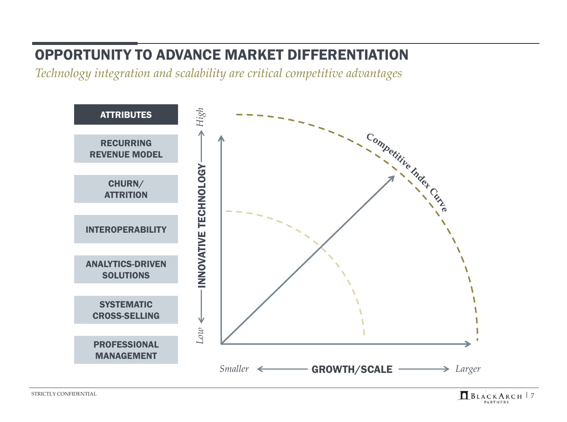## OPPORTUNITY TO ADVANCE MARKET DIFFERENTIATION

*Technology integration and scalability are critical competitive advantages*



STRICTLY CONFIDENTIAL  $B\cup A\subset K$   $\overline{A}\cdot R\subset H$  | 7